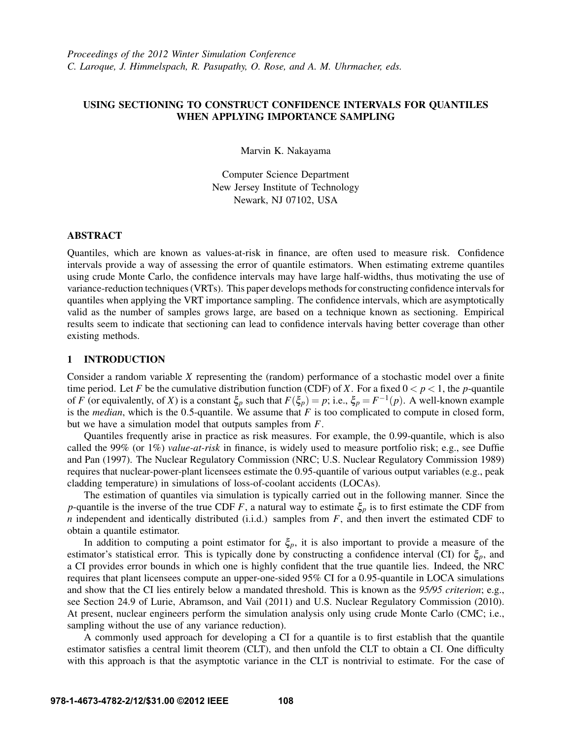# USING SECTIONING TO CONSTRUCT CONFIDENCE INTERVALS FOR QUANTILES WHEN APPLYING IMPORTANCE SAMPLING

Marvin K. Nakayama

Computer Science Department New Jersey Institute of Technology Newark, NJ 07102, USA

## ABSTRACT

Quantiles, which are known as values-at-risk in finance, are often used to measure risk. Confidence intervals provide a way of assessing the error of quantile estimators. When estimating extreme quantiles using crude Monte Carlo, the confidence intervals may have large half-widths, thus motivating the use of variance-reduction techniques (VRTs). This paper develops methods for constructing confidence intervals for quantiles when applying the VRT importance sampling. The confidence intervals, which are asymptotically valid as the number of samples grows large, are based on a technique known as sectioning. Empirical results seem to indicate that sectioning can lead to confidence intervals having better coverage than other existing methods.

## 1 INTRODUCTION

Consider a random variable *X* representing the (random) performance of a stochastic model over a finite time period. Let *F* be the cumulative distribution function (CDF) of *X*. For a fixed  $0 < p < 1$ , the *p*-quantile of *F* (or equivalently, of *X*) is a constant  $\xi_p$  such that  $F(\xi_p) = p$ ; i.e.,  $\xi_p = F^{-1}(p)$ . A well-known example is the *median*, which is the 0.5-quantile. We assume that *F* is too complicated to compute in closed form, but we have a simulation model that outputs samples from *F*.

Quantiles frequently arise in practice as risk measures. For example, the 0.99-quantile, which is also called the 99% (or 1%) *value-at-risk* in finance, is widely used to measure portfolio risk; e.g., see Duffie and Pan (1997). The Nuclear Regulatory Commission (NRC; U.S. Nuclear Regulatory Commission 1989) requires that nuclear-power-plant licensees estimate the 0.95-quantile of various output variables (e.g., peak cladding temperature) in simulations of loss-of-coolant accidents (LOCAs).

The estimation of quantiles via simulation is typically carried out in the following manner. Since the *p*-quantile is the inverse of the true CDF *F*, a natural way to estimate  $\xi_p$  is to first estimate the CDF from *n* independent and identically distributed (i.i.d.) samples from *F*, and then invert the estimated CDF to obtain a quantile estimator.

In addition to computing a point estimator for  $\xi_p$ , it is also important to provide a measure of the estimator's statistical error. This is typically done by constructing a confidence interval (CI) for  $\xi_p$ , and a CI provides error bounds in which one is highly confident that the true quantile lies. Indeed, the NRC requires that plant licensees compute an upper-one-sided 95% CI for a 0.95-quantile in LOCA simulations and show that the CI lies entirely below a mandated threshold. This is known as the *95/95 criterion*; e.g., see Section 24.9 of Lurie, Abramson, and Vail (2011) and U.S. Nuclear Regulatory Commission (2010). At present, nuclear engineers perform the simulation analysis only using crude Monte Carlo (CMC; i.e., sampling without the use of any variance reduction).

A commonly used approach for developing a CI for a quantile is to first establish that the quantile estimator satisfies a central limit theorem (CLT), and then unfold the CLT to obtain a CI. One difficulty with this approach is that the asymptotic variance in the CLT is nontrivial to estimate. For the case of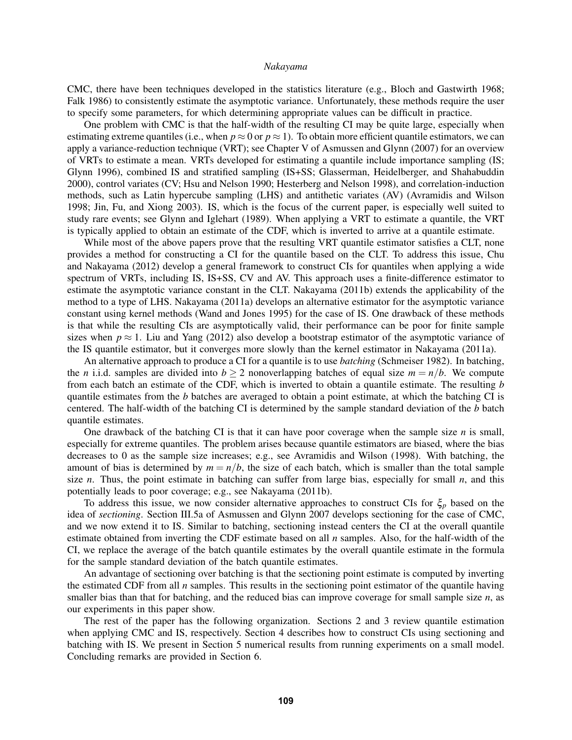CMC, there have been techniques developed in the statistics literature (e.g., Bloch and Gastwirth 1968; Falk 1986) to consistently estimate the asymptotic variance. Unfortunately, these methods require the user to specify some parameters, for which determining appropriate values can be difficult in practice.

One problem with CMC is that the half-width of the resulting CI may be quite large, especially when estimating extreme quantiles (i.e., when  $p \approx 0$  or  $p \approx 1$ ). To obtain more efficient quantile estimators, we can apply a variance-reduction technique (VRT); see Chapter V of Asmussen and Glynn (2007) for an overview of VRTs to estimate a mean. VRTs developed for estimating a quantile include importance sampling (IS; Glynn 1996), combined IS and stratified sampling (IS+SS; Glasserman, Heidelberger, and Shahabuddin 2000), control variates (CV; Hsu and Nelson 1990; Hesterberg and Nelson 1998), and correlation-induction methods, such as Latin hypercube sampling (LHS) and antithetic variates (AV) (Avramidis and Wilson 1998; Jin, Fu, and Xiong 2003). IS, which is the focus of the current paper, is especially well suited to study rare events; see Glynn and Iglehart (1989). When applying a VRT to estimate a quantile, the VRT is typically applied to obtain an estimate of the CDF, which is inverted to arrive at a quantile estimate.

While most of the above papers prove that the resulting VRT quantile estimator satisfies a CLT, none provides a method for constructing a CI for the quantile based on the CLT. To address this issue, Chu and Nakayama (2012) develop a general framework to construct CIs for quantiles when applying a wide spectrum of VRTs, including IS, IS+SS, CV and AV. This approach uses a finite-difference estimator to estimate the asymptotic variance constant in the CLT. Nakayama (2011b) extends the applicability of the method to a type of LHS. Nakayama (2011a) develops an alternative estimator for the asymptotic variance constant using kernel methods (Wand and Jones 1995) for the case of IS. One drawback of these methods is that while the resulting CIs are asymptotically valid, their performance can be poor for finite sample sizes when  $p \approx 1$ . Liu and Yang (2012) also develop a bootstrap estimator of the asymptotic variance of the IS quantile estimator, but it converges more slowly than the kernel estimator in Nakayama (2011a).

An alternative approach to produce a CI for a quantile is to use *batching* (Schmeiser 1982). In batching, the *n* i.i.d. samples are divided into  $b \ge 2$  nonoverlapping batches of equal size  $m = n/b$ . We compute from each batch an estimate of the CDF, which is inverted to obtain a quantile estimate. The resulting *b* quantile estimates from the *b* batches are averaged to obtain a point estimate, at which the batching CI is centered. The half-width of the batching CI is determined by the sample standard deviation of the *b* batch quantile estimates.

One drawback of the batching CI is that it can have poor coverage when the sample size *n* is small, especially for extreme quantiles. The problem arises because quantile estimators are biased, where the bias decreases to 0 as the sample size increases; e.g., see Avramidis and Wilson (1998). With batching, the amount of bias is determined by  $m = n/b$ , the size of each batch, which is smaller than the total sample size  $n$ . Thus, the point estimate in batching can suffer from large bias, especially for small  $n$ , and this potentially leads to poor coverage; e.g., see Nakayama (2011b).

To address this issue, we now consider alternative approaches to construct CIs for  $\xi_p$  based on the idea of *sectioning*. Section III.5a of Asmussen and Glynn 2007 develops sectioning for the case of CMC, and we now extend it to IS. Similar to batching, sectioning instead centers the CI at the overall quantile estimate obtained from inverting the CDF estimate based on all *n* samples. Also, for the half-width of the CI, we replace the average of the batch quantile estimates by the overall quantile estimate in the formula for the sample standard deviation of the batch quantile estimates.

An advantage of sectioning over batching is that the sectioning point estimate is computed by inverting the estimated CDF from all *n* samples. This results in the sectioning point estimator of the quantile having smaller bias than that for batching, and the reduced bias can improve coverage for small sample size *n*, as our experiments in this paper show.

The rest of the paper has the following organization. Sections 2 and 3 review quantile estimation when applying CMC and IS, respectively. Section 4 describes how to construct CIs using sectioning and batching with IS. We present in Section 5 numerical results from running experiments on a small model. Concluding remarks are provided in Section 6.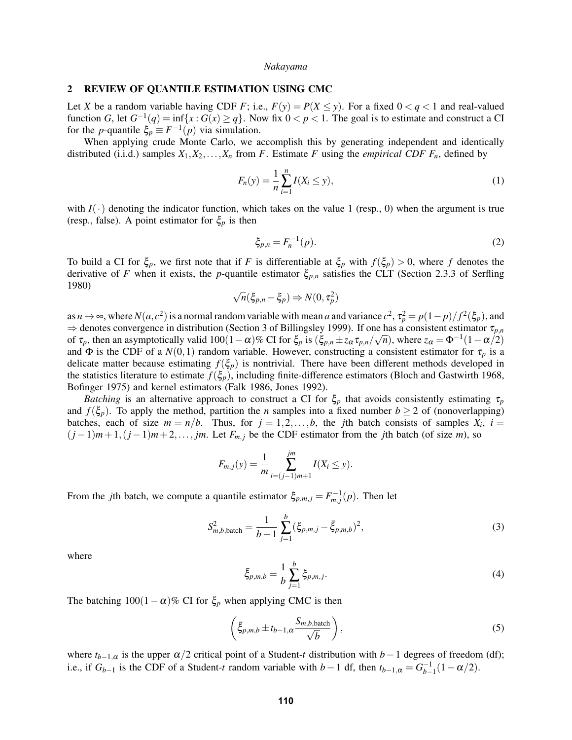#### 2 REVIEW OF QUANTILE ESTIMATION USING CMC

Let *X* be a random variable having CDF *F*; i.e.,  $F(y) = P(X \le y)$ . For a fixed  $0 < q < 1$  and real-valued function *G*, let  $G^{-1}(q) = \inf\{x : G(x) \ge q\}$ . Now fix  $0 < p < 1$ . The goal is to estimate and construct a CI for the *p*-quantile  $\xi_p \equiv F^{-1}(p)$  via simulation.

When applying crude Monte Carlo, we accomplish this by generating independent and identically distributed (i.i.d.) samples  $X_1, X_2, \ldots, X_n$  from *F*. Estimate *F* using the *empirical CDF F<sub>n</sub>*, defined by

$$
F_n(y) = \frac{1}{n} \sum_{i=1}^n I(X_i \le y),
$$
\n(1)

with  $I(\cdot)$  denoting the indicator function, which takes on the value 1 (resp., 0) when the argument is true (resp., false). A point estimator for  $\xi_p$  is then

$$
\xi_{p,n} = F_n^{-1}(p). \tag{2}
$$

To build a CI for  $\xi_p$ , we first note that if *F* is differentiable at  $\xi_p$  with  $f(\xi_p) > 0$ , where *f* denotes the derivative of *F* when it exists, the *p*-quantile estimator  $\xi_{p,n}$  satisfies the CLT (Section 2.3.3 of Serfling 1980) √

$$
\sqrt{n}(\xi_{p,n}-\xi_p)\Rightarrow N(0,\tau_p^2)
$$

as  $n \to \infty$ , where  $N(a, c^2)$  is a normal random variable with mean *a* and variance  $c^2$ ,  $\tau_p^2 = p(1-p)/f^2(\xi_p)$ , and  $\Rightarrow$  denotes convergence in distribution (Section 3 of Billingsley 1999). If one has a consistent estimator  $\tau_{p,n}$ of  $\tau_p$ , then an asymptotically valid 100(1 –  $\alpha$ )% CI for  $\xi_p$  is ( $\xi_{p,n} \pm z_\alpha \tau_{p,n}/\sqrt{n}$ ), where  $z_\alpha = \Phi^{-1}(1 - \alpha/2)$ and  $\Phi$  is the CDF of a  $N(0,1)$  random variable. However, constructing a consistent estimator for  $\tau_p$  is a delicate matter because estimating  $f(\xi_p)$  is nontrivial. There have been different methods developed in the statistics literature to estimate  $f(\xi_p)$ , including finite-difference estimators (Bloch and Gastwirth 1968, Bofinger 1975) and kernel estimators (Falk 1986, Jones 1992).

*Batching* is an alternative approach to construct a CI for  $\xi_p$  that avoids consistently estimating  $\tau_p$ and  $f(\xi_p)$ . To apply the method, partition the *n* samples into a fixed number  $b \ge 2$  of (nonoverlapping) batches, each of size  $m = n/b$ . Thus, for  $j = 1, 2, \ldots, b$ , the *j*th batch consists of samples  $X_i$ ,  $i =$  $(j-1)m+1$ ,  $(j-1)m+2,...,jm$ . Let  $F_{m,j}$  be the CDF estimator from the *j*th batch (of size *m*), so

$$
F_{m,j}(y) = \frac{1}{m} \sum_{i=(j-1)m+1}^{jm} I(X_i \le y).
$$

From the *j*th batch, we compute a quantile estimator  $\xi_{p,m,j} = F_{m,j}^{-1}(p)$ . Then let

$$
S_{m,b,\text{batch}}^2 = \frac{1}{b-1} \sum_{j=1}^b (\xi_{p,m,j} - \bar{\xi}_{p,m,b})^2,
$$
\n(3)

where

$$
\bar{\xi}_{p,m,b} = \frac{1}{b} \sum_{j=1}^{b} \xi_{p,m,j}.
$$
\n(4)

The batching  $100(1-\alpha)$ % CI for  $\xi_p$  when applying CMC is then

$$
\left(\bar{\xi}_{p,m,b} \pm t_{b-1,\alpha} \frac{S_{m,b,\text{batch}}}{\sqrt{b}}\right),\tag{5}
$$

where  $t_{b-1,\alpha}$  is the upper  $\alpha/2$  critical point of a Student-*t* distribution with *b*−1 degrees of freedom (df); i.e., if  $G_{b-1}$  is the CDF of a Student-*t* random variable with  $b-1$  df, then  $t_{b-1,\alpha} = G_{b-1}^{-1}(1-\alpha/2)$ .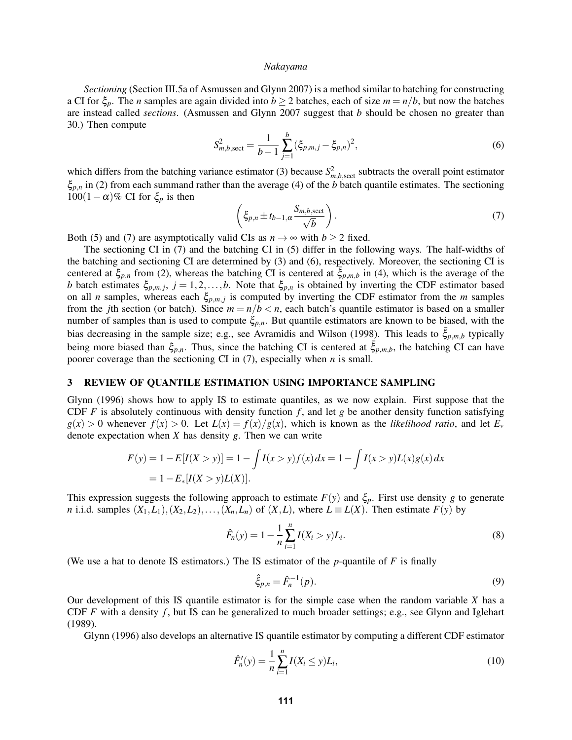*Sectioning* (Section III.5a of Asmussen and Glynn 2007) is a method similar to batching for constructing a CI for  $\xi_p$ . The *n* samples are again divided into  $b \ge 2$  batches, each of size  $m = n/b$ , but now the batches are instead called *sections*. (Asmussen and Glynn 2007 suggest that *b* should be chosen no greater than 30.) Then compute

$$
S_{m,b,\text{sect}}^2 = \frac{1}{b-1} \sum_{j=1}^b (\xi_{p,m,j} - \xi_{p,n})^2,
$$
\n(6)

which differs from the batching variance estimator (3) because  $S_{m,b,\text{sect}}^2$  subtracts the overall point estimator  $\xi_{p,n}$  in (2) from each summand rather than the average (4) of the *b* batch quantile estimates. The sectioning 100(1−α)% CI for ξ*<sup>p</sup>* is then

$$
\left(\xi_{p,n} \pm t_{b-1,\alpha} \frac{S_{m,b,\text{sect}}}{\sqrt{b}}\right). \tag{7}
$$

Both (5) and (7) are asymptotically valid CIs as  $n \to \infty$  with  $b > 2$  fixed.

The sectioning CI in (7) and the batching CI in (5) differ in the following ways. The half-widths of the batching and sectioning CI are determined by (3) and (6), respectively. Moreover, the sectioning CI is centered at  $\xi_{p,n}$  from (2), whereas the batching CI is centered at  $\xi_{p,m,b}$  in (4), which is the average of the *b* batch estimates  $\xi_{p,m,j}$ ,  $j = 1,2,...,b$ . Note that  $\xi_{p,n}$  is obtained by inverting the CDF estimator based on all *n* samples, whereas each  $\xi_{p,m,j}$  is computed by inverting the CDF estimator from the *m* samples from the *j*th section (or batch). Since  $m = n/b < n$ , each batch's quantile estimator is based on a smaller number of samples than is used to compute ξ*p*,*n*. But quantile estimators are known to be biased, with the bias decreasing in the sample size; e.g., see Avramidis and Wilson (1998). This leads to  $\bar{\xi}_{p,m,b}$  typically being more biased than  $\xi_{p,n}$ . Thus, since the batching CI is centered at  $\bar{\xi}_{p,m,b}$ , the batching CI can have poorer coverage than the sectioning CI in (7), especially when *n* is small.

## 3 REVIEW OF QUANTILE ESTIMATION USING IMPORTANCE SAMPLING

Glynn (1996) shows how to apply IS to estimate quantiles, as we now explain. First suppose that the CDF  $F$  is absolutely continuous with density function  $f$ , and let  $g$  be another density function satisfying  $g(x) > 0$  whenever  $f(x) > 0$ . Let  $L(x) = f(x)/g(x)$ , which is known as the *likelihood ratio*, and let  $E_*$ denote expectation when *X* has density *g*. Then we can write

$$
F(y) = 1 - E[I(X > y)] = 1 - \int I(x > y) f(x) dx = 1 - \int I(x > y) L(x) g(x) dx
$$
  
= 1 - E<sub>\*</sub>[I(X > y) L(X)].

This expression suggests the following approach to estimate  $F(y)$  and  $\xi_p$ . First use density *g* to generate *n* i.i.d. samples  $(X_1, L_1), (X_2, L_2), \ldots, (X_n, L_n)$  of  $(X, L)$ , where  $L \equiv L(X)$ . Then estimate  $F(y)$  by

$$
\hat{F}_n(y) = 1 - \frac{1}{n} \sum_{i=1}^n I(X_i > y) L_i. \tag{8}
$$

(We use a hat to denote IS estimators.) The IS estimator of the *p*-quantile of *F* is finally

$$
\hat{\xi}_{p,n} = \hat{F}_n^{-1}(p).
$$
 (9)

Our development of this IS quantile estimator is for the simple case when the random variable *X* has a CDF *F* with a density *f* , but IS can be generalized to much broader settings; e.g., see Glynn and Iglehart (1989).

Glynn (1996) also develops an alternative IS quantile estimator by computing a different CDF estimator

$$
\hat{F}'_n(y) = \frac{1}{n} \sum_{i=1}^n I(X_i \le y) L_i,
$$
\n(10)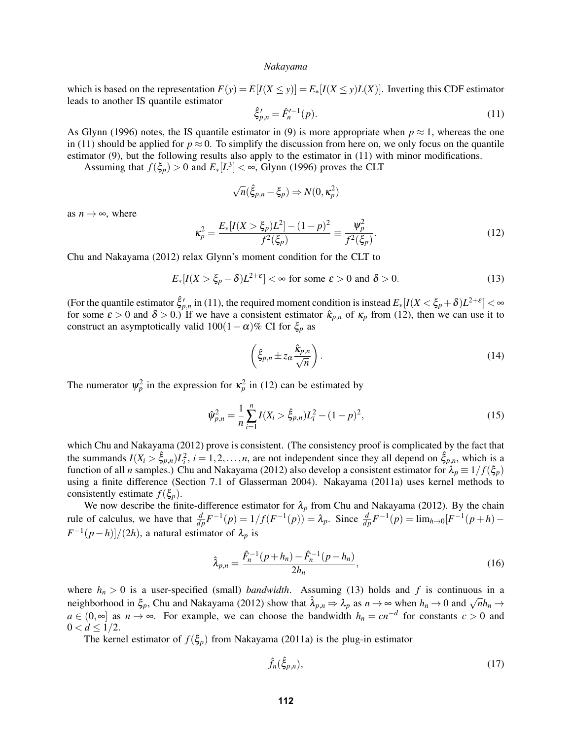which is based on the representation  $F(y) = E[I(X \le y)] = E_*[I(X \le y)L(X)]$ . Inverting this CDF estimator leads to another IS quantile estimator

$$
\hat{\xi}'_{p,n} = \hat{F}'^{-1}_n(p). \tag{11}
$$

As Glynn (1996) notes, the IS quantile estimator in (9) is more appropriate when  $p \approx 1$ , whereas the one in (11) should be applied for  $p \approx 0$ . To simplify the discussion from here on, we only focus on the quantile estimator (9), but the following results also apply to the estimator in (11) with minor modifications.

Assuming that  $f(\xi_p) > 0$  and  $E_*[L^3] < \infty$ , Glynn (1996) proves the CLT

$$
\sqrt{n}(\hat{\xi}_{p,n}-\xi_p)\Rightarrow N(0,\kappa_p^2)
$$

as  $n \rightarrow \infty$ , where

$$
\kappa_p^2 = \frac{E_*[I(X > \xi_p)L^2] - (1 - p)^2}{f^2(\xi_p)} \equiv \frac{\psi_p^2}{f^2(\xi_p)}.
$$
\n(12)

Chu and Nakayama (2012) relax Glynn's moment condition for the CLT to

$$
E_*[I(X > \xi_p - \delta)L^{2+\epsilon}] < \infty \text{ for some } \epsilon > 0 \text{ and } \delta > 0. \tag{13}
$$

(For the quantile estimator  $\hat{\xi}'_{p,n}$  in (11), the required moment condition is instead  $E_*[I(X < \xi_p + \delta)L^{2+\epsilon}] < \infty$ for some  $\varepsilon > 0$  and  $\delta > 0$ .) If we have a consistent estimator  $\hat{\kappa}_{p,n}$  of  $\kappa_p$  from (12), then we can use it to construct an asymptotically valid  $100(1-\alpha)\%$  CI for  $\xi_p$  as

$$
\left(\hat{\xi}_{p,n} \pm z_{\alpha} \frac{\hat{\kappa}_{p,n}}{\sqrt{n}}\right). \tag{14}
$$

The numerator  $\psi_p^2$  in the expression for  $\kappa_p^2$  in (12) can be estimated by

$$
\hat{\psi}_{p,n}^2 = \frac{1}{n} \sum_{i=1}^n I(X_i > \hat{\xi}_{p,n}) L_i^2 - (1 - p)^2,
$$
\n(15)

which Chu and Nakayama (2012) prove is consistent. (The consistency proof is complicated by the fact that the summands  $I(X_i > \hat{\xi}_{p,n})L_i^2$ ,  $i = 1, 2, ..., n$ , are not independent since they all depend on  $\hat{\xi}_{p,n}$ , which is a function of all *n* samples.) Chu and Nakayama (2012) also develop a consistent estimator for  $\lambda_p \equiv 1/f(\xi_p)$ using a finite difference (Section 7.1 of Glasserman 2004). Nakayama (2011a) uses kernel methods to consistently estimate  $f(\xi_p)$ .

We now describe the finite-difference estimator for  $\lambda_p$  from Chu and Nakayama (2012). By the chain rule of calculus, we have that  $\frac{d}{dp}F^{-1}(p) = 1/f(F^{-1}(p)) = \lambda_p$ . Since  $\frac{d}{dp}F^{-1}(p) = \lim_{h \to 0} [F^{-1}(p+h) F^{-1}(p-h)/(2h)$ , a natural estimator of  $\lambda_p$  is

$$
\hat{\lambda}_{p,n} = \frac{\hat{F}_n^{-1}(p + h_n) - \hat{F}_n^{-1}(p - h_n)}{2h_n},
$$
\n(16)

where  $h_n > 0$  is a user-specified (small) *bandwidth*. Assuming (13) holds and f is continuous in a neighborhood in  $\xi_p$ , Chu and Nakayama (2012) show that  $\hat{\lambda}_{p,n} \Rightarrow \lambda_p$  as  $n \to \infty$  when  $h_n \to 0$  and  $\sqrt{n}h_n \to 0$ *a* ∈  $(0, \infty]$  as  $n \to \infty$ . For example, we can choose the bandwidth  $h_n = cn^{-d}$  for constants  $c > 0$  and  $0 < d \leq 1/2$ .

The kernel estimator of  $f(\xi_p)$  from Nakayama (2011a) is the plug-in estimator

$$
\hat{f}_n(\hat{\xi}_{p,n}),\tag{17}
$$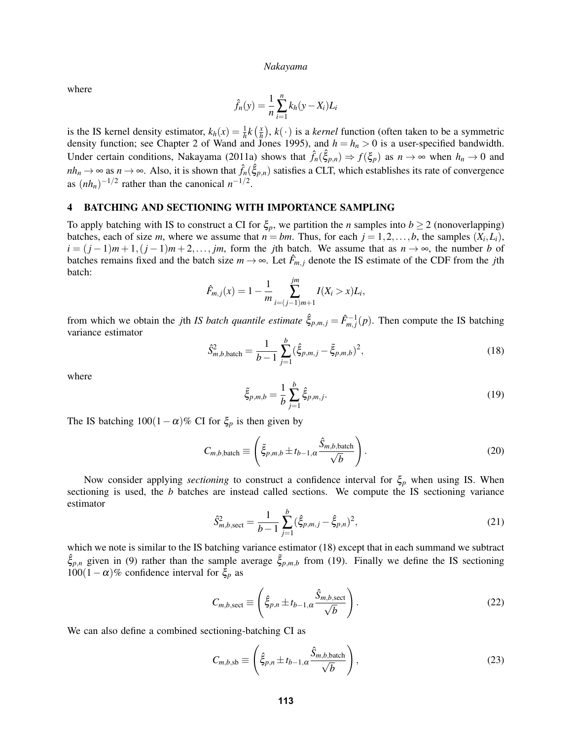where

$$
\hat{f}_n(y) = \frac{1}{n} \sum_{i=1}^n k_h(y - X_i) L_i
$$

is the IS kernel density estimator,  $k_h(x) = \frac{1}{h}k\left(\frac{x}{h}\right)$  $\left(\frac{x}{h}\right)$ ,  $k(\cdot)$  is a *kernel* function (often taken to be a symmetric density function; see Chapter 2 of Wand and Jones 1995), and  $h = h_n > 0$  is a user-specified bandwidth. Under certain conditions, Nakayama (2011a) shows that  $\hat{f}_n(\hat{\xi}_{p,n}) \Rightarrow f(\xi_p)$  as  $n \to \infty$  when  $h_n \to 0$  and  $nh_n \to \infty$  as  $n \to \infty$ . Also, it is shown that  $\hat{f}_n(\hat{\xi}_{p,n})$  satisfies a CLT, which establishes its rate of convergence as  $(nh_n)^{-1/2}$  rather than the canonical  $n^{-1/2}$ .

# 4 BATCHING AND SECTIONING WITH IMPORTANCE SAMPLING

To apply batching with IS to construct a CI for  $\xi_p$ , we partition the *n* samples into  $b \ge 2$  (nonoverlapping) batches, each of size *m*, where we assume that  $n = bm$ . Thus, for each  $j = 1, 2, ..., b$ , the samples  $(X_i, L_i)$ ,  $i = (j-1)m+1, (j-1)m+2,...,jm$ , form the *j*th batch. We assume that as  $n \to \infty$ , the number *b* of batches remains fixed and the batch size  $m \to \infty$ . Let  $\hat{F}_{m,j}$  denote the IS estimate of the CDF from the *j*th batch:

$$
\hat{F}_{m,j}(x) = 1 - \frac{1}{m} \sum_{i=(j-1)m+1}^{jm} I(X_i > x) L_i,
$$

from which we obtain the *j*th *IS batch quantile estimate*  $\hat{\xi}_{p,m,j} = \hat{F}_{m,j}^{-1}(p)$ . Then compute the IS batching variance estimator

$$
\hat{S}_{m,b,\text{batch}}^2 = \frac{1}{b-1} \sum_{j=1}^b (\hat{\xi}_{p,m,j} - \tilde{\xi}_{p,m,b})^2, \tag{18}
$$

where

$$
\tilde{\xi}_{p,m,b} = \frac{1}{b} \sum_{j=1}^{b} \hat{\xi}_{p,m,j}.
$$
\n(19)

The IS batching  $100(1-\alpha)\%$  CI for  $\xi_p$  is then given by

$$
C_{m,b,\text{batch}} \equiv \left( \tilde{\xi}_{p,m,b} \pm t_{b-1,\alpha} \frac{\hat{S}_{m,b,\text{batch}}}{\sqrt{b}} \right). \tag{20}
$$

Now consider applying *sectioning* to construct a confidence interval for ξ*<sup>p</sup>* when using IS. When sectioning is used, the *b* batches are instead called sections. We compute the IS sectioning variance estimator

$$
\hat{S}_{m,b,\text{sect}}^2 = \frac{1}{b-1} \sum_{j=1}^b (\hat{\xi}_{p,m,j} - \hat{\xi}_{p,n})^2,\tag{21}
$$

which we note is similar to the IS batching variance estimator (18) except that in each summand we subtract  $\hat{\xi}_{p,n}$  given in (9) rather than the sample average  $\tilde{\xi}_{p,m,b}$  from (19). Finally we define the IS sectioning 100(1−α)% confidence interval for ξ*<sup>p</sup>* as

$$
C_{m,b,\text{sect}} \equiv \left(\hat{\xi}_{p,n} \pm t_{b-1,\alpha} \frac{\hat{S}_{m,b,\text{sect}}}{\sqrt{b}}\right). \tag{22}
$$

We can also define a combined sectioning-batching CI as

$$
C_{m,b,\rm sb} \equiv \left(\hat{\xi}_{p,n} \pm t_{b-1,\alpha} \frac{\hat{S}_{m,b,\rm batch}}{\sqrt{b}}\right),\tag{23}
$$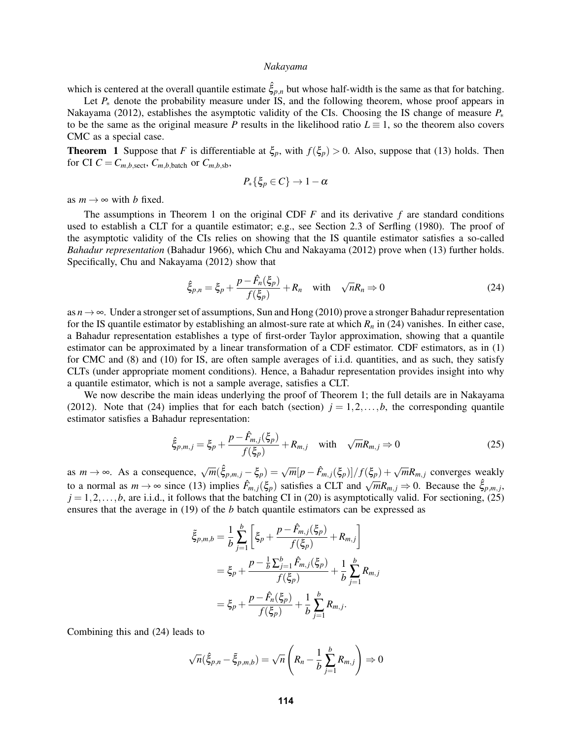which is centered at the overall quantile estimate  $\hat{\xi}_{p,n}$  but whose half-width is the same as that for batching.

Let *P*<sup>∗</sup> denote the probability measure under IS, and the following theorem, whose proof appears in Nakayama (2012), establishes the asymptotic validity of the CIs. Choosing the IS change of measure *P*<sup>∗</sup> to be the same as the original measure *P* results in the likelihood ratio  $L \equiv 1$ , so the theorem also covers CMC as a special case.

**Theorem 1** Suppose that *F* is differentiable at  $\xi_p$ , with  $f(\xi_p) > 0$ . Also, suppose that (13) holds. Then for CI  $C = C_{m,b,\text{sect}}, C_{m,b,\text{batch}}$  or  $C_{m,b,\text{sb}}$ ,

$$
P_*\{\xi_p\in C\}\to 1-\alpha
$$

as  $m \rightarrow \infty$  with *b* fixed.

The assumptions in Theorem 1 on the original CDF  $F$  and its derivative  $f$  are standard conditions used to establish a CLT for a quantile estimator; e.g., see Section 2.3 of Serfling (1980). The proof of the asymptotic validity of the CIs relies on showing that the IS quantile estimator satisfies a so-called *Bahadur representation* (Bahadur 1966), which Chu and Nakayama (2012) prove when (13) further holds. Specifically, Chu and Nakayama (2012) show that

$$
\hat{\xi}_{p,n} = \xi_p + \frac{p - \hat{F}_n(\xi_p)}{f(\xi_p)} + R_n \quad \text{with} \quad \sqrt{n}R_n \Rightarrow 0 \tag{24}
$$

as  $n \to \infty$ . Under a stronger set of assumptions, Sun and Hong (2010) prove a stronger Bahadur representation for the IS quantile estimator by establishing an almost-sure rate at which *R<sup>n</sup>* in (24) vanishes. In either case, a Bahadur representation establishes a type of first-order Taylor approximation, showing that a quantile estimator can be approximated by a linear transformation of a CDF estimator. CDF estimators, as in (1) for CMC and (8) and (10) for IS, are often sample averages of i.i.d. quantities, and as such, they satisfy CLTs (under appropriate moment conditions). Hence, a Bahadur representation provides insight into why a quantile estimator, which is not a sample average, satisfies a CLT.

We now describe the main ideas underlying the proof of Theorem 1; the full details are in Nakayama (2012). Note that (24) implies that for each batch (section)  $j = 1, 2, \ldots, b$ , the corresponding quantile estimator satisfies a Bahadur representation:

$$
\hat{\xi}_{p,m,j} = \xi_p + \frac{p - \hat{F}_{m,j}(\xi_p)}{f(\xi_p)} + R_{m,j} \quad \text{with} \quad \sqrt{m}R_{m,j} \Rightarrow 0 \tag{25}
$$

as  $m \to \infty$ . As a consequence,  $\sqrt{m}(\hat{\xi}_{p,m,j} - \xi_p) = \sqrt{m[p - \hat{F}_{m,j}(\xi_p)]}/f(\xi_p) + \sqrt{mR_{m,j}}$  converges weakly to a normal as  $m \to \infty$  since (13) implies  $\hat{F}_{m,j}(\xi_p)$  satisfies a CLT and  $\sqrt{m}R_{m,j} \to 0$ . Because the  $\hat{\xi}_{p,m,j}$ ,  $j = 1, 2, \ldots, b$ , are i.i.d., it follows that the batching CI in (20) is asymptotically valid. For sectioning, (25) ensures that the average in (19) of the *b* batch quantile estimators can be expressed as

$$
\tilde{\xi}_{p,m,b} = \frac{1}{b} \sum_{j=1}^{b} \left[ \xi_p + \frac{p - \hat{F}_{m,j}(\xi_p)}{f(\xi_p)} + R_{m,j} \right]
$$
  
=  $\xi_p + \frac{p - \frac{1}{b} \sum_{j=1}^{b} \hat{F}_{m,j}(\xi_p)}{f(\xi_p)} + \frac{1}{b} \sum_{j=1}^{b} R_{m,j}$   
=  $\xi_p + \frac{p - \hat{F}_n(\xi_p)}{f(\xi_p)} + \frac{1}{b} \sum_{j=1}^{b} R_{m,j}.$ 

Combining this and (24) leads to

$$
\sqrt{n}(\hat{\xi}_{p,n}-\tilde{\xi}_{p,m,b})=\sqrt{n}\left(R_n-\frac{1}{b}\sum_{j=1}^bR_{m,j}\right)\Rightarrow 0
$$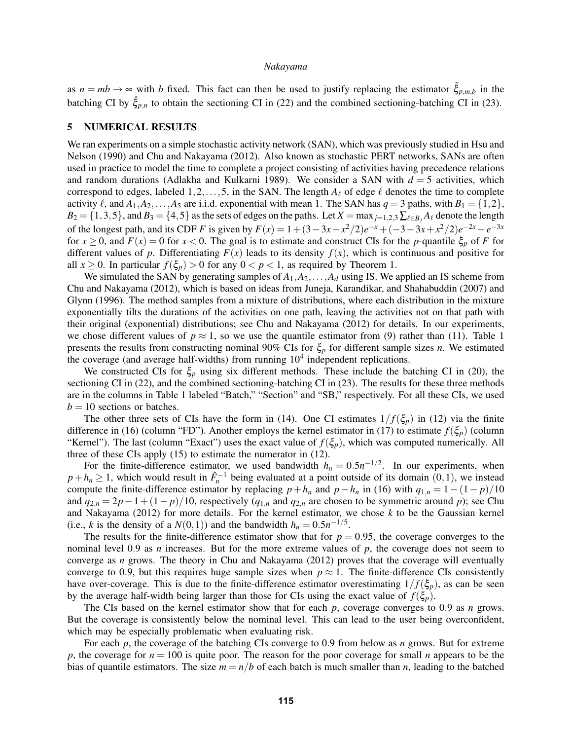as  $n = mb \rightarrow \infty$  with *b* fixed. This fact can then be used to justify replacing the estimator  $\tilde{\xi}_{p,m,b}$  in the batching CI by  $\hat{\xi}_{p,n}$  to obtain the sectioning CI in (22) and the combined sectioning-batching CI in (23).

# 5 NUMERICAL RESULTS

We ran experiments on a simple stochastic activity network (SAN), which was previously studied in Hsu and Nelson (1990) and Chu and Nakayama (2012). Also known as stochastic PERT networks, SANs are often used in practice to model the time to complete a project consisting of activities having precedence relations and random durations (Adlakha and Kulkarni 1989). We consider a SAN with  $d = 5$  activities, which correspond to edges, labeled 1,2,...,5, in the SAN. The length  $A_\ell$  of edge  $\ell$  denotes the time to complete activity  $\ell$ , and  $A_1, A_2, \ldots, A_5$  are i.i.d. exponential with mean 1. The SAN has  $q = 3$  paths, with  $B_1 = \{1, 2\}$ ,  $B_2 = \{1,3,5\}$ , and  $B_3 = \{4,5\}$  as the sets of edges on the paths. Let  $X = \max_{j=1,2,3} \sum_{\ell \in B_j} A_\ell$  denote the length of the longest path, and its CDF *F* is given by  $F(x) = 1 + (3 - 3x - x^2/2)e^{-x} + (-3 - 3x + x^2/2)e^{-2x} - e^{-3x}$ for  $x \ge 0$ , and  $F(x) = 0$  for  $x < 0$ . The goal is to estimate and construct CIs for the *p*-quantile  $\xi_p$  of *F* for different values of p. Differentiating  $F(x)$  leads to its density  $f(x)$ , which is continuous and positive for all  $x \ge 0$ . In particular  $f(\xi_p) > 0$  for any  $0 < p < 1$ , as required by Theorem 1.

We simulated the SAN by generating samples of  $A_1, A_2, \ldots, A_d$  using IS. We applied an IS scheme from Chu and Nakayama (2012), which is based on ideas from Juneja, Karandikar, and Shahabuddin (2007) and Glynn (1996). The method samples from a mixture of distributions, where each distribution in the mixture exponentially tilts the durations of the activities on one path, leaving the activities not on that path with their original (exponential) distributions; see Chu and Nakayama (2012) for details. In our experiments, we chose different values of  $p \approx 1$ , so we use the quantile estimator from (9) rather than (11). Table 1 presents the results from constructing nominal 90% CIs for ξ*<sup>p</sup>* for different sample sizes *n*. We estimated the coverage (and average half-widths) from running  $10<sup>4</sup>$  independent replications.

We constructed CIs for  $\xi_p$  using six different methods. These include the batching CI in (20), the sectioning CI in (22), and the combined sectioning-batching CI in (23). The results for these three methods are in the columns in Table 1 labeled "Batch," "Section" and "SB," respectively. For all these CIs, we used  $b = 10$  sections or batches.

The other three sets of CIs have the form in (14). One CI estimates  $1/f(\xi_p)$  in (12) via the finite difference in (16) (column "FD"). Another employs the kernel estimator in (17) to estimate  $f(\xi_p)$  (column "Kernel"). The last (column "Exact") uses the exact value of  $f(\xi_p)$ , which was computed numerically. All three of these CIs apply (15) to estimate the numerator in (12).

For the finite-difference estimator, we used bandwidth  $h_n = 0.5n^{-1/2}$ . In our experiments, when  $p + h_n \ge 1$ , which would result in  $\hat{F}_n^{-1}$  being evaluated at a point outside of its domain  $(0,1)$ , we instead compute the finite-difference estimator by replacing  $p + h_n$  and  $p - h_n$  in (16) with  $q_{1,n} = 1 - (1 - p)/10$ and  $q_{2n} = 2p - 1 + (1 - p)/10$ , respectively  $(q_{1n}$  and  $q_{2n}$  are chosen to be symmetric around *p*); see Chu and Nakayama (2012) for more details. For the kernel estimator, we chose *k* to be the Gaussian kernel (i.e., *k* is the density of a  $N(0,1)$ ) and the bandwidth  $h_n = 0.5n^{-1/5}$ .

The results for the finite-difference estimator show that for  $p = 0.95$ , the coverage converges to the nominal level 0.9 as *n* increases. But for the more extreme values of *p*, the coverage does not seem to converge as *n* grows. The theory in Chu and Nakayama (2012) proves that the coverage will eventually converge to 0.9, but this requires huge sample sizes when  $p \approx 1$ . The finite-difference CIs consistently have over-coverage. This is due to the finite-difference estimator overestimating  $1/f(\xi_p)$ , as can be seen by the average half-width being larger than those for CIs using the exact value of  $f(\xi_p)$ .

The CIs based on the kernel estimator show that for each *p*, coverage converges to 0.9 as *n* grows. But the coverage is consistently below the nominal level. This can lead to the user being overconfident, which may be especially problematic when evaluating risk.

For each *p*, the coverage of the batching CIs converge to 0.9 from below as *n* grows. But for extreme *p*, the coverage for  $n = 100$  is quite poor. The reason for the poor coverage for small *n* appears to be the bias of quantile estimators. The size  $m = n/b$  of each batch is much smaller than *n*, leading to the batched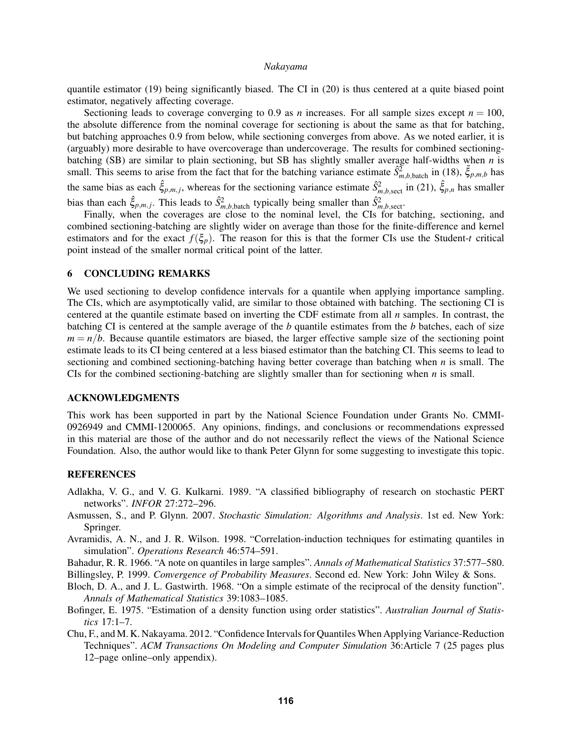quantile estimator (19) being significantly biased. The CI in (20) is thus centered at a quite biased point estimator, negatively affecting coverage.

Sectioning leads to coverage converging to 0.9 as *n* increases. For all sample sizes except  $n = 100$ , the absolute difference from the nominal coverage for sectioning is about the same as that for batching, but batching approaches 0.9 from below, while sectioning converges from above. As we noted earlier, it is (arguably) more desirable to have overcoverage than undercoverage. The results for combined sectioningbatching (SB) are similar to plain sectioning, but SB has slightly smaller average half-widths when *n* is small. This seems to arise from the fact that for the batching variance estimate  $\hat{S}_{m,b,\text{batch}}^2$  in (18),  $\tilde{\xi}_{p,m,b}$  has the same bias as each  $\hat{\xi}_{p,m,j}$ , whereas for the sectioning variance estimate  $\hat{S}^2_{m,b,\text{sect}}$  in (21),  $\hat{\xi}_{p,n}$  has smaller bias than each  $\hat{\xi}_{p,m,j}$ . This leads to  $\hat{S}^2_{m,b,\text{batch}}$  typically being smaller than  $\hat{S}^2_{m,b,\text{sect}}$ .

Finally, when the coverages are close to the nominal level, the CIs for batching, sectioning, and combined sectioning-batching are slightly wider on average than those for the finite-difference and kernel estimators and for the exact  $f(\xi_p)$ . The reason for this is that the former CIs use the Student-*t* critical point instead of the smaller normal critical point of the latter.

#### 6 CONCLUDING REMARKS

We used sectioning to develop confidence intervals for a quantile when applying importance sampling. The CIs, which are asymptotically valid, are similar to those obtained with batching. The sectioning CI is centered at the quantile estimate based on inverting the CDF estimate from all *n* samples. In contrast, the batching CI is centered at the sample average of the *b* quantile estimates from the *b* batches, each of size  $m = n/b$ . Because quantile estimators are biased, the larger effective sample size of the sectioning point estimate leads to its CI being centered at a less biased estimator than the batching CI. This seems to lead to sectioning and combined sectioning-batching having better coverage than batching when *n* is small. The CIs for the combined sectioning-batching are slightly smaller than for sectioning when *n* is small.

#### ACKNOWLEDGMENTS

This work has been supported in part by the National Science Foundation under Grants No. CMMI-0926949 and CMMI-1200065. Any opinions, findings, and conclusions or recommendations expressed in this material are those of the author and do not necessarily reflect the views of the National Science Foundation. Also, the author would like to thank Peter Glynn for some suggesting to investigate this topic.

### REFERENCES

- Adlakha, V. G., and V. G. Kulkarni. 1989. "A classified bibliography of research on stochastic PERT networks". *INFOR* 27:272–296.
- Asmussen, S., and P. Glynn. 2007. *Stochastic Simulation: Algorithms and Analysis*. 1st ed. New York: Springer.
- Avramidis, A. N., and J. R. Wilson. 1998. "Correlation-induction techniques for estimating quantiles in simulation". *Operations Research* 46:574–591.
- Bahadur, R. R. 1966. "A note on quantiles in large samples". *Annals of Mathematical Statistics* 37:577–580.
- Billingsley, P. 1999. *Convergence of Probability Measures*. Second ed. New York: John Wiley & Sons.
- Bloch, D. A., and J. L. Gastwirth. 1968. "On a simple estimate of the reciprocal of the density function". *Annals of Mathematical Statistics* 39:1083–1085.
- Bofinger, E. 1975. "Estimation of a density function using order statistics". *Australian Journal of Statistics* 17:1–7.
- Chu, F., and M. K. Nakayama. 2012. "Confidence Intervals for QuantilesWhen Applying Variance-Reduction Techniques". *ACM Transactions On Modeling and Computer Simulation* 36:Article 7 (25 pages plus 12–page online–only appendix).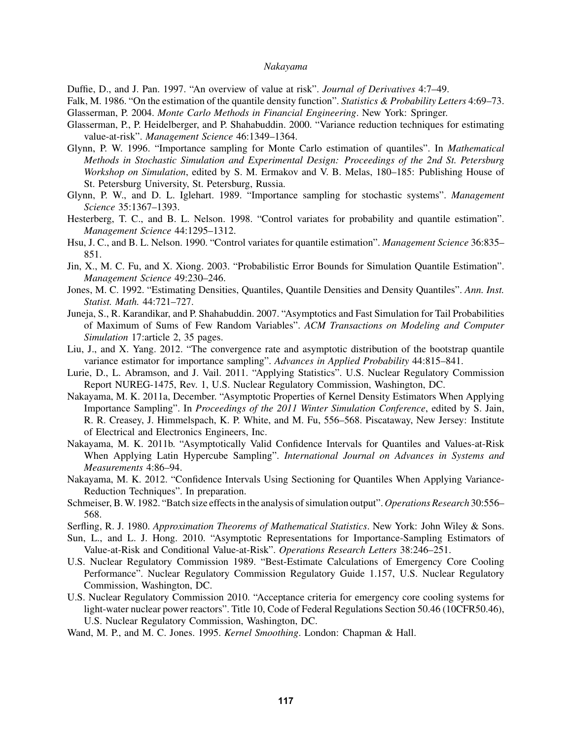Duffie, D., and J. Pan. 1997. "An overview of value at risk". *Journal of Derivatives* 4:7–49.

- Falk, M. 1986. "On the estimation of the quantile density function". *Statistics & Probability Letters* 4:69–73. Glasserman, P. 2004. *Monte Carlo Methods in Financial Engineering*. New York: Springer.
- Glasserman, P., P. Heidelberger, and P. Shahabuddin. 2000. "Variance reduction techniques for estimating value-at-risk". *Management Science* 46:1349–1364.
- Glynn, P. W. 1996. "Importance sampling for Monte Carlo estimation of quantiles". In *Mathematical Methods in Stochastic Simulation and Experimental Design: Proceedings of the 2nd St. Petersburg Workshop on Simulation*, edited by S. M. Ermakov and V. B. Melas, 180–185: Publishing House of St. Petersburg University, St. Petersburg, Russia.
- Glynn, P. W., and D. L. Iglehart. 1989. "Importance sampling for stochastic systems". *Management Science* 35:1367–1393.
- Hesterberg, T. C., and B. L. Nelson. 1998. "Control variates for probability and quantile estimation". *Management Science* 44:1295–1312.
- Hsu, J. C., and B. L. Nelson. 1990. "Control variates for quantile estimation". *Management Science* 36:835– 851.
- Jin, X., M. C. Fu, and X. Xiong. 2003. "Probabilistic Error Bounds for Simulation Quantile Estimation". *Management Science* 49:230–246.
- Jones, M. C. 1992. "Estimating Densities, Quantiles, Quantile Densities and Density Quantiles". *Ann. Inst. Statist. Math.* 44:721–727.
- Juneja, S., R. Karandikar, and P. Shahabuddin. 2007. "Asymptotics and Fast Simulation for Tail Probabilities of Maximum of Sums of Few Random Variables". *ACM Transactions on Modeling and Computer Simulation* 17:article 2, 35 pages.
- Liu, J., and X. Yang. 2012. "The convergence rate and asymptotic distribution of the bootstrap quantile variance estimator for importance sampling". *Advances in Applied Probability* 44:815–841.
- Lurie, D., L. Abramson, and J. Vail. 2011. "Applying Statistics". U.S. Nuclear Regulatory Commission Report NUREG-1475, Rev. 1, U.S. Nuclear Regulatory Commission, Washington, DC.
- Nakayama, M. K. 2011a, December. "Asymptotic Properties of Kernel Density Estimators When Applying Importance Sampling". In *Proceedings of the 2011 Winter Simulation Conference*, edited by S. Jain, R. R. Creasey, J. Himmelspach, K. P. White, and M. Fu, 556–568. Piscataway, New Jersey: Institute of Electrical and Electronics Engineers, Inc.
- Nakayama, M. K. 2011b. "Asymptotically Valid Confidence Intervals for Quantiles and Values-at-Risk When Applying Latin Hypercube Sampling". *International Journal on Advances in Systems and Measurements* 4:86–94.
- Nakayama, M. K. 2012. "Confidence Intervals Using Sectioning for Quantiles When Applying Variance-Reduction Techniques". In preparation.
- Schmeiser, B.W. 1982. "Batch size effects in the analysis of simulation output". *Operations Research* 30:556– 568.
- Serfling, R. J. 1980. *Approximation Theorems of Mathematical Statistics*. New York: John Wiley & Sons.
- Sun, L., and L. J. Hong. 2010. "Asymptotic Representations for Importance-Sampling Estimators of Value-at-Risk and Conditional Value-at-Risk". *Operations Research Letters* 38:246–251.
- U.S. Nuclear Regulatory Commission 1989. "Best-Estimate Calculations of Emergency Core Cooling Performance". Nuclear Regulatory Commission Regulatory Guide 1.157, U.S. Nuclear Regulatory Commission, Washington, DC.
- U.S. Nuclear Regulatory Commission 2010. "Acceptance criteria for emergency core cooling systems for light-water nuclear power reactors". Title 10, Code of Federal Regulations Section 50.46 (10CFR50.46), U.S. Nuclear Regulatory Commission, Washington, DC.
- Wand, M. P., and M. C. Jones. 1995. *Kernel Smoothing*. London: Chapman & Hall.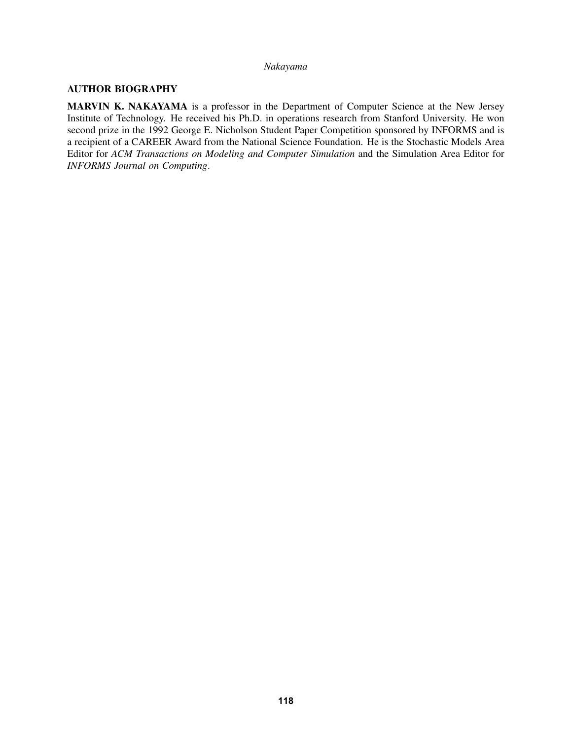# AUTHOR BIOGRAPHY

MARVIN K. NAKAYAMA is a professor in the Department of Computer Science at the New Jersey Institute of Technology. He received his Ph.D. in operations research from Stanford University. He won second prize in the 1992 George E. Nicholson Student Paper Competition sponsored by INFORMS and is a recipient of a CAREER Award from the National Science Foundation. He is the Stochastic Models Area Editor for *ACM Transactions on Modeling and Computer Simulation* and the Simulation Area Editor for *INFORMS Journal on Computing*.